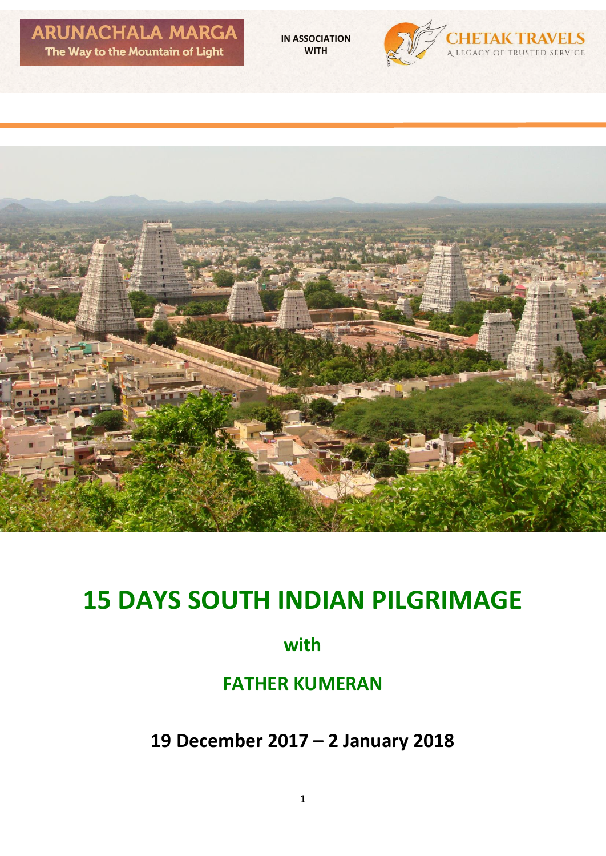**IN ASSOCIATION WITH**





# **15 DAYS SOUTH INDIAN PILGRIMAGE**

# **with**

# **FATHER KUMERAN**

**19 December 2017 – 2 January 2018**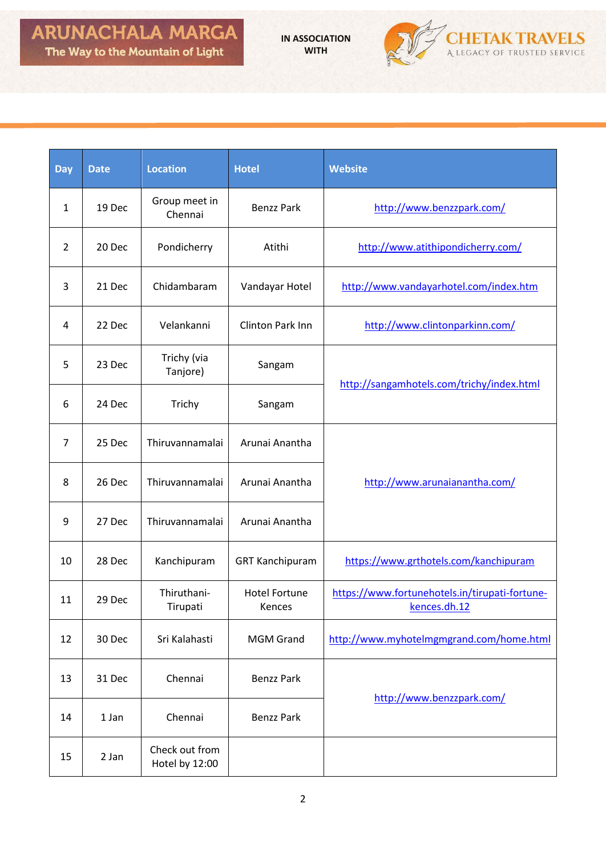**IN ASSOCIATION WITH**



| <b>Day</b>     | <b>Date</b> | <b>Location</b>                  | <b>Hotel</b>                   | <b>Website</b>                                                 |  |
|----------------|-------------|----------------------------------|--------------------------------|----------------------------------------------------------------|--|
| $\mathbf{1}$   | 19 Dec      | Group meet in<br>Chennai         | <b>Benzz Park</b>              | http://www.benzzpark.com/                                      |  |
| $\overline{2}$ | 20 Dec      | Pondicherry                      | Atithi                         | http://www.atithipondicherry.com/                              |  |
| 3              | 21 Dec      | Chidambaram                      | Vandayar Hotel                 | http://www.vandayarhotel.com/index.htm                         |  |
| 4              | 22 Dec      | Velankanni                       | Clinton Park Inn               | http://www.clintonparkinn.com/                                 |  |
| 5              | 23 Dec      | Trichy (via<br>Tanjore)          | Sangam                         | http://sangamhotels.com/trichy/index.html                      |  |
| 6              | 24 Dec      | Trichy                           | Sangam                         |                                                                |  |
| 7              | 25 Dec      | Thiruvannamalai                  | Arunai Anantha                 |                                                                |  |
| 8              | 26 Dec      | Thiruvannamalai                  | Arunai Anantha                 | http://www.arunaianantha.com/                                  |  |
| 9              | 27 Dec      | Thiruvannamalai                  | Arunai Anantha                 |                                                                |  |
| 10             | 28 Dec      | Kanchipuram                      | <b>GRT Kanchipuram</b>         | https://www.grthotels.com/kanchipuram                          |  |
| 11             | 29 Dec      | Thiruthani-<br>Tirupati          | <b>Hotel Fortune</b><br>Kences | https://www.fortunehotels.in/tirupati-fortune-<br>kences.dh.12 |  |
| 12             | 30 Dec      | Sri Kalahasti                    | <b>MGM Grand</b>               | http://www.myhotelmgmgrand.com/home.html                       |  |
| 13             | 31 Dec      | Chennai                          | <b>Benzz Park</b>              |                                                                |  |
| 14             | 1 Jan       | Chennai                          | <b>Benzz Park</b>              | http://www.benzzpark.com/                                      |  |
| 15             | 2 Jan       | Check out from<br>Hotel by 12:00 |                                |                                                                |  |